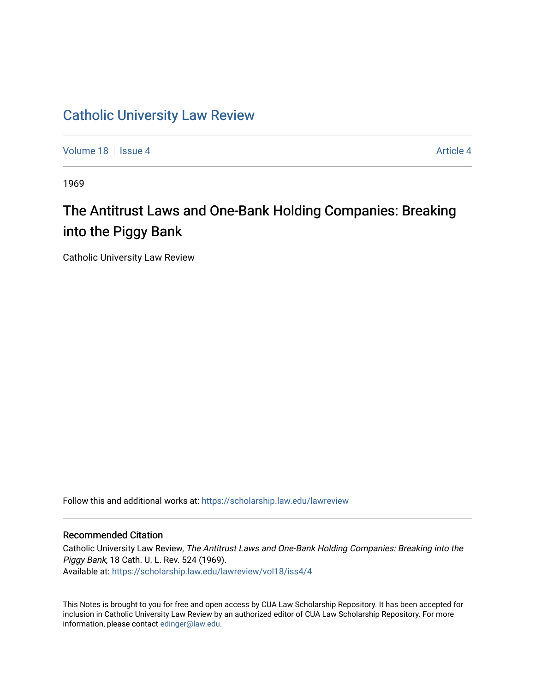## [Catholic University Law Review](https://scholarship.law.edu/lawreview)

[Volume 18](https://scholarship.law.edu/lawreview/vol18) Setus 4 [Article 4](https://scholarship.law.edu/lawreview/vol18/iss4/4) Article 4 Article 4 Article 4 Article 4 Article 4

1969

# The Antitrust Laws and One-Bank Holding Companies: Breaking into the Piggy Bank

Catholic University Law Review

Follow this and additional works at: [https://scholarship.law.edu/lawreview](https://scholarship.law.edu/lawreview?utm_source=scholarship.law.edu%2Flawreview%2Fvol18%2Fiss4%2F4&utm_medium=PDF&utm_campaign=PDFCoverPages)

### Recommended Citation

Catholic University Law Review, The Antitrust Laws and One-Bank Holding Companies: Breaking into the Piggy Bank, 18 Cath. U. L. Rev. 524 (1969). Available at: [https://scholarship.law.edu/lawreview/vol18/iss4/4](https://scholarship.law.edu/lawreview/vol18/iss4/4?utm_source=scholarship.law.edu%2Flawreview%2Fvol18%2Fiss4%2F4&utm_medium=PDF&utm_campaign=PDFCoverPages)

This Notes is brought to you for free and open access by CUA Law Scholarship Repository. It has been accepted for inclusion in Catholic University Law Review by an authorized editor of CUA Law Scholarship Repository. For more information, please contact [edinger@law.edu.](mailto:edinger@law.edu)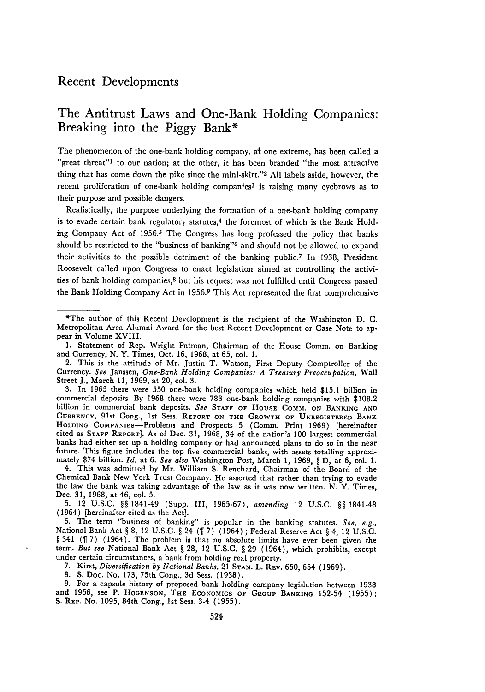### Recent Developments

### The Antitrust Laws and One-Bank Holding Companies: Breaking into the **Piggy** Bank\*

The phenomenon of the one-bank holding company, at one extreme, has been called a "great threat"<sup>1</sup> to our nation; at the other, it has been branded "the most attractive thing that has come down the pike since the mini-skirt."<sup>2</sup> All labels aside, however, the recent proliferation of one-bank holding companies<sup>3</sup> is raising many eyebrows as to their purpose and possible dangers.

Realistically, the purpose underlying the formation of a one-bank holding company is to evade certain bank regulatory statutes,<sup>4</sup> the foremost of which is the Bank Holding Company Act of 1956.5 The Congress has long professed the policy that banks should be restricted to the "business of banking"<sup>6</sup> and should not be allowed to expand their activities to the possible detriment of the banking public.<sup>7</sup> In 1938, President Roosevelt called upon Congress to enact legislation aimed at controlling the activities of bank holding companies,<sup>8</sup> but his request was not fulfilled until Congress passed the Bank Holding Company Act in 1956.9 This Act represented the first comprehensive

4. This was admitted by Mr. William **S.** Renchard, Chairman of the Board of the Chemical Bank New York Trust Company. He asserted that rather than trying to evade the law the bank was taking advantage of the law as it was now written. N. Y. Times, Dec. 31, 1968, at 46, col. 5.

5. 12 U.S.C. §§ 1841-49 (Supp. 111, 1965-67), *amending* 12 U.S.C. §§ 1841-48 (1964) [hereinafter cited as the Act].

6. The term "business of banking" is popular in the banking statutes. *See, e.g.*, National Bank Act § 8, 12 U.S.C. § 24 (  $\parallel$  7) (1964); Federal Reserve Act § 4, 12 U.S.C. § 341 ( $\parallel$  7) (1964). The problem is that no absolute limits have ever been given the term. *But see* National Bank Act § **28,** 12 U.S.C. § **29** (1964), which prohibits, except under certain circumstances, a bank from holding real property.

7. Kirst, *Diversification by National Banks,* 21 STAN. L. REv. 650, 654 (1969).

8. **S.** Doc. No. 173, 75th Cong., 3d Sess. (1938).

9. For a capsule history of proposed bank holding company legislation between 1938 and 1956, see P. HOGENSON, THE ECONOMICS **OF** GROUP **BANKING** 152-54 (1955); **S.** REP. No. 1095, 84th Cong., Ist Sess. 3-4 (1955).

<sup>\*</sup>The author of this Recent Development is the recipient of the Washington D. C. Metropolitan Area Alumni Award for the best Recent Development or Case Note to appear in Volume XVIII.

<sup>1.</sup> Statement of Rep. Wright Patman, Chairman of the House Comm. on Banking and Currency, N. Y. Times, Oct. 16, 1968, at 65, col. 1.

<sup>2.</sup> This is the attitude of Mr. Justin T. Watson, First Deputy Comptroller of the Currency. *See* Janssen, *One-Bank Holding Companies: A Treasury Preoccupation,* Wall Street J., March 11, 1969, at 20, col. 3.

<sup>3.</sup> In 1965 there were 550 one-bank holding companies which held \$15.1 billion in commercial deposits. By 1968 there were 783 one-bank holding companies with \$108.2 billion in commercial bank deposits. *See* STAFF OF HOUSE COMM. ON **BANKING AND** CURRENCY, 91st Cong., ist Sess. REPORT ON THE GROWTH OF UNREGISTERED BANK HOLDING CoMPANIEs-Problems and Prospects 5 (Comm. Print **1969)** [hereinafter cited as STAFF REPORT]. As of Dec. **31,** 1968, 34 of the nation's **100** largest commercial banks had either set up a holding company or had announced plans to do so in the near future. This figure includes the top five commercial banks, with assets totalling approximately \$74 billion. *Id.* at 6. *See also* Washington Post, March **1, 1969,** § D, at **6,** col. **1.**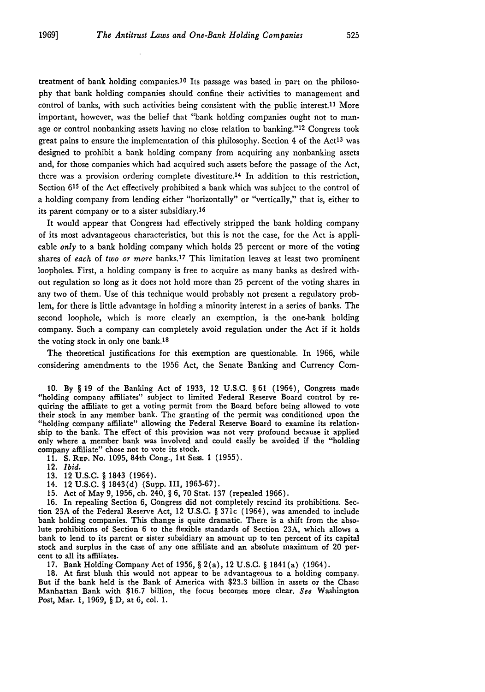treatment of bank holding companies.<sup>10</sup> Its passage was based in part on the philosophy that bank holding companies should confine their activities to management and control of banks, with such activities being consistent with the public interest.11 More important, however, was the belief that "bank holding companies ought not to manage or control nonbanking assets having no close relation to banking."<sup>12</sup> Congress took great pains to ensure the implementation of this philosophy. Section  $4$  of the Act<sup>13</sup> was designed to prohibit a bank holding company from acquiring any nonbanking assets and, for those companies which had acquired such assets before the passage of the Act, there was a provision ordering complete divestiture.14 In addition to this restriction, Section 615 of the Act effectively prohibited a bank which was subject to the control of a holding company from lending either "horizontally" or "vertically," that is, either to its parent company or to a sister subsidiary.<sup>16</sup>

It would appear that Congress had effectively stripped the bank holding company of its most advantageous characteristics, but this is not the case, for the Act is applicable *only* to a bank holding company which holds 25 percent or more of the voting shares of *each* of *two or more* banks.17 This limitation leaves at least two prominent loopholes. First, a holding company is free to acquire as many banks as desired without regulation so long as it does not hold more than 25 percent of the voting shares in any two of them. Use of this technique would probably not present a regulatory problem, for there is little advantage in holding a minority interest in a series of banks. The second loophole, which is more clearly an exemption, is the one-bank holding company. Such a company can completely avoid regulation under the Act if it holds the voting stock in only one bank.<sup>18</sup>

The theoretical justifications for this exemption are questionable. In 1966, while considering amendments to the 1956 Act, the Senate Banking and Currency Com-

10. By § 19 of the Banking Act of 1933, 12 U.S.C. § 61 (1964), Congress made "holding company affiliates" subject to limited Federal Reserve Board control by re- quiring the affiliate to get a voting permit from the Board before being allowed to vote their stock in any member bank. The granting of the permit was conditioned upon the "holding company affiliate" allowing the Federal Reserve Board to examine its relationship to the bank. The effect of this provision was not very profound because it applied only where a member bank was involved and could easily be avoided if the "holding company affiliate" chose not to vote its stock.

- **11. S.** REP. No. 1095, 84th Cong., 1st Sess. 1 (1955).
- 12. *Ibid.*
- **13.** 12 U.S.C. § 1843 (1964).
- 14. 12 **U.S.C.** § **1843(d)** (Supp. **III, 1965-67).**
- **15.** Act of May **9, 1956,** ch. 240, § **6,** 70 Stat. **137** (repealed **1966).**

**16.** In repealing Section **6,** Congress did not completely rescind its prohibitions. Section **23A** of the Federal Reserve Act, 12 **U.S.C.** § 371c (1964), was amended to include bank holding companies. This change is quite dramatic. There is a shift from the absolute prohibitions of Section **6** to the flexible standards of Section 23A, which allows a bank to lend to its parent or sister subsidiary an amount up to ten percent of its capital stock and surplus in the case of any one affiliate and an absolute maximum of 20 percent to all its affiliates.

**17.** Bank Holding Company Act of **1956,** § 2(a), 12 U.S.C. § 1841(a) (1964).

18. At first blush this would not appear to be advantageous to a holding company. But if the bank held is the Bank of America with **\$23.3** billion in assets or the Chase Manhattan Bank with \$16.7 billion, the focus becomes more clear. *See* Washington Post, Mar. **1, 1969,** § D, at **6,** col. **1.**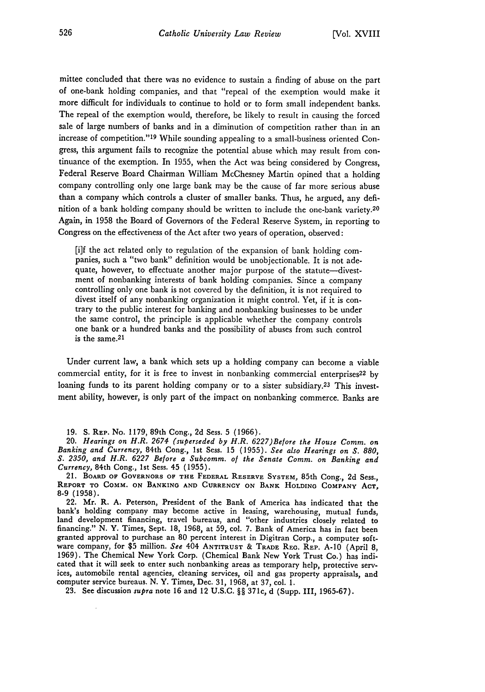mittee concluded that there was no evidence to sustain a finding of abuse on the part of one-bank holding companies, and that "repeal of the exemption would make it more difficult for individuals to continue to hold or to form small independent banks. The repeal of the exemption would, therefore, be likely to result in causing the forced sale of large numbers of banks and in a diminution of competition rather than in an increase of competition."<sup>19</sup> While sounding appealing to a small-business oriented Congress, this argument fails to recognize the potential abuse which may result from continuance of the exemption. In 1955, when the Act was being considered by Congress, Federal Reserve Board Chairman William McChesney Martin opined that a holding company controlling only one large bank may be the cause of far more serious abuse than a company which controls a cluster of smaller banks. Thus, he argued, any definition of a bank holding company should be written to include the one-bank variety.<sup>20</sup> Again, in 1958 the Board of Governors of the Federal Reserve System, in reporting to Congress on the effectiveness of the Act after two years of operation, observed:

[i]f the act related only to regulation of the expansion of bank holding com- panies, such a "two bank" definition would be unobjectionable. It is not adequate, however, to effectuate another major purpose of the statute-divestment of nonbanking interests of bank holding companies. Since a company controlling only one bank is not covered by the definition, it is not required to divest itself of any nonbanking organization it might control. Yet, if it is con- trary to the public interest for banking and nonbanking businesses to be under the same control, the principle is applicable whether the company controls one bank or a hundred banks and the possibility of abuses from such control is the same.<sup>21</sup>

Under current law, a bank which sets up a holding company can become a viable commercial entity, for it is free to invest in nonbanking commercial enterprises<sup>22</sup> by loaning funds to its parent holding company or to a sister subsidiary.<sup>23</sup> This investment ability, however, is only part of the impact on nonbanking commerce. Banks are

19. S. REP. No. 1179, 89th Cong., 2d Sess. 5 (1966).

20. *Hearings on H.R. 2674 (superseded by H.R. 6227)Before the House Comm. on Banking and Currency,* 84th Cong., 1st Sess. 15 (1955). *See also Hearings on S. 880, S. 2350, and H.R. 6227 Before a Subcomm. of the Senate Comm. on Banking and Currency,* 84th Cong., 1st Sess. 45 (1955).

21. **BOARD OF GOVERNORS OF THE FEDERAL RESERVE SYSTEM,** 85th Cong., 2d Sess., **REPORT TO COMM. ON BANKING AND CURRENCY ON BANK HOLDING COMPANY ACT, 8-9** (1958).

22. Mr. R. A. Peterson, President of the Bank of America has indicated that the bank's holding company may become active in leasing, warehousing, mutual funds, land development financing, travel bureaus, and "other industries closely related to financing." **N.** Y. Times, Sept. **18,** 1968, at 59, col. **7.** Bank of America has in fact been granted approval to purchase an 80 percent interest in Digitran Corp., a computer soft- ware company, for \$5 million. *See* 404 **ANTITRUST** & TRADE **REG. REP. A-10** (April 8, 1969). The Chemical New York Corp. (Chemical Bank New York Trust Co.) has indicated that it will seek to enter such nonbanking areas as temporary help, protective serv- ices, automobile rental agencies, cleaning services, oil and gas property appraisals, and computer service bureaus. N. Y. Times, Dec. 31, 1968, at 37, col. 1.

**23.** See discussion *supra* note **16** and 12 **U.S.C.** §§ 371c, d (Supp. III, 1965-67).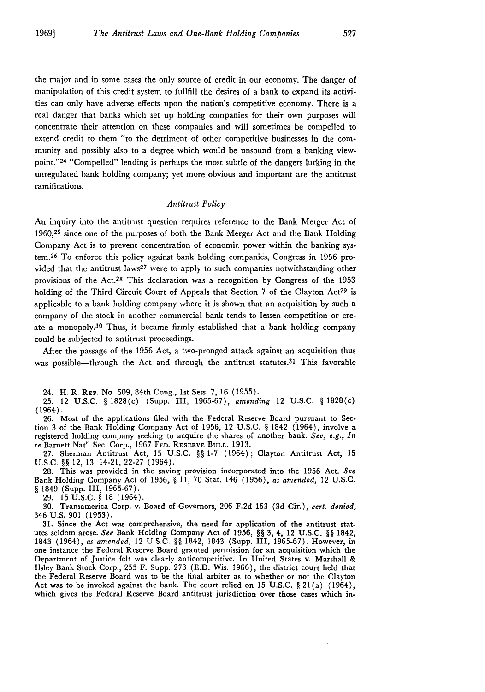the major and in some cases the only source of credit in our economy. The danger of manipulation of this credit system to fullfill the desires of a bank to expand its activities can only have adverse effects upon the nation's competitive economy. There is a real danger that banks which set up holding companies for their own purposes will concentrate their attention on these companies and will sometimes be compelled to extend credit to them "to the detriment of other competitive businesses in the community and possibly also to a degree which would be unsound from a banking viewpoint." 24 "Compelled" lending is perhaps the most subtle of the dangers lurking in the unregulated bank holding company; yet more obvious and important are the antitrust ramifications.

#### *Antitrust Policy*

An inquiry into the antitrust question requires reference to the Bank Merger Act of **1960,25** since one of the purposes of both the Bank Merger Act and the Bank Holding Company Act is to prevent concentration of economic power within the banking system. 26 To enforce this policy against bank holding companies, Congress in **1956** provided that the antitrust laws<sup>27</sup> were to apply to such companies notwithstanding other provisions of the Act.28 This declaration was a recognition **by** Congress of the **<sup>1953</sup>** holding of the Third Circuit Court of Appeals that Section 7 of the Clayton Act<sup>29</sup> is applicable to a bank holding company where it is shown that an acquisition **by** such a company of the stock in another commercial bank tends to lessen competition or create a monopoly.<sup>30</sup> Thus, it became firmly established that a bank holding company could be subjected to antitrust proceedings.

After the passage of the **1956** Act, a two-pronged attack against an acquisition thus was possible—through the Act and through the antitrust statutes.<sup>31</sup> This favorable

24. H. R. REP. No. **609,** 84th Cong., **1st** Sess. **7, 16 (1955).**

**25.** 12 **U.S.C. §** 1828(c) (Supp. **III, 1965-67),** *amending* 12 **U.S.C. §** 1828(c) (1964).

26. Most of the applications filed with the Federal Reserve Board pursuant to Section 3 of the Bank Holding Company Act of 1956, 12 U.S.C. § 1842 (1964), involve a registered holding company seeking to acquire the shares of another bank. *See, e.g., In re* Barnett Nat'l Sec. Corp., **1967 FED. RESERVE BULL. 1913.**

**27.** Sherman Antitrust Act, **15 U.S.C. §§ 1-7** (1964) **;** Clayton Antitrust Act, **15 U.S.C. §§** 12, **13,** 14-21, **22-27** (1964).

**28.** This was provided in the saving provision incorporated into the **1956** Act. *See* Bank Holding Company Act of **1956, § 11, 70** Stat. 146 **(1956),** *as amended,* 12 **U.S.C.** *§* 1849 (Supp. **III, 1965-67).**

**29. 15 U.S.C. § 18** (1964).

**30.** Transamerica Corp. v. Board of Governors, **206 F.2d 163 (3d** Cir.), *cert. denied,* 346 **U.S. 901 (1953).**

**31.** Since the Act was comprehensive, the need for application of the antitrust statutes seldom arose. *See* Bank Holding Company Act of **1956,** *§§* **3,** 4, 12 **U.S.C.** *§§* 1842, 1843 (1964), *as amended,* 12 **U.S.C.** *§§* 1842, 1843 (Supp. **III, 1965-67).** However, in one instance the Federal Reserve Board granted permission for an acquisition which the Department of Justice felt was clearly anticompetitive. In United States v. Marshall **&** Ilsley Bank Stock Corp., **255** F. Supp. **273 (E.D.** Wis. **1966),** the district court held that the Federal Reserve Board was to be the final arbiter as to whether or not the Clayton Act was to **be** invoked against the bank. The court relied on **15 U.S.C. § 21** (a) (1964), which gives the Federal Reserve Board antitrust jurisdiction over those cases which in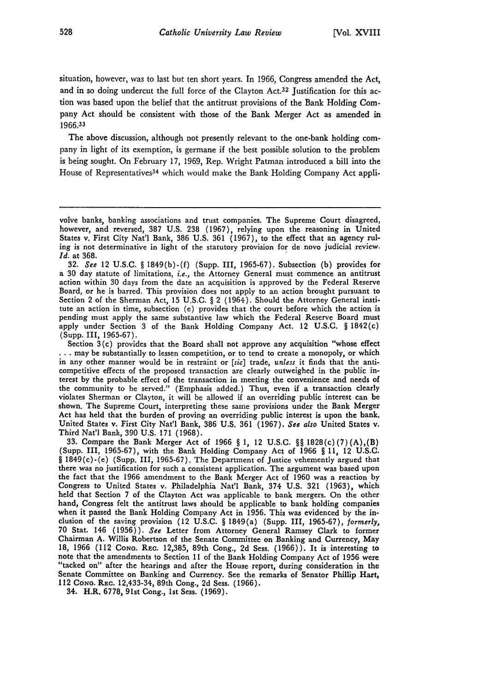situation, however, was to last but ten short years. In 1966, Congress amended the Act, and in so doing undercut the full force of the Clayton Act.<sup>32</sup> Justification for this action was based upon the belief that the antitrust provisions of the Bank Holding Company Act should be consistent with those of the Bank Merger Act as amended in **1966.33**

The above discussion, although not presently relevant to the one-bank holding company in light of its exemption, is germane if the best possible solution to the problem is being sought. On February 17, 1969, Rep. Wright Patman introduced a bill into the House of Representatives<sup>34</sup> which would make the Bank Holding Company Act appli-

32. *See* 12 U.S.C. § 1849(b)-(f) (Supp. III, 1965-67). Subsection (b) provides for a 30 day statute of limitations, *i.e.,* the Attorney General must commence an antitrust action within 30 days from the date an acquisition is approved by the Federal Reserve Board, or he is barred. This provision does not apply to an action brought pursuant to Section 2 of the Sherman Act, 15 U.S.C. § 2 (1964). Should the Attorney General institute an action in time, subsection (e) provides that the court before which the action is pending must apply the same substantive law which the Federal Reserve Board must apply under Section 3 of the Bank Holding Company Act. 12 U.S.C. § 1842(c) (Supp. III, 1965-67).

Section 3 (c) provides that the Board shall not approve any acquisition "whose effect **...** may be substantially to lessen competition, or to tend to create a monopoly, or which in any other manner would be in restraint or *[sic]* trade, *unless* it finds that the anticompetitive effects of the proposed transaction are clearly outweighed in the public interest by the probable effect of the transaction in meeting the convenience and needs of the community to be served." (Emphasis added.) Thus, even **if** a transaction clearly violates Sherman or Clayton, it will be allowed if an overriding public interest can be shown. The Supreme Court, interpreting these same provisions under the Bank Merger Act has held that the burden of proving an overriding public interest is upon the bank. United States v. First City Nat'l Bank, 386 U.S. 361 (1967). *See also* United States v. Third Nat'l Bank, 390 U.S. 171 (1968).

33. Compare the Bank Merger Act of 1966 § 1, 12 U.S.C. §§ 1828(c) (7) (A),(B) (Supp. **III,** 1965-67), with the Bank Holding Company Act of 1966 § 11, 12 U.S.C. § 1849(c)-(e) (Supp. III, 1965-67). The Department of Justice vehemently argued that there was no justification for such a consistent application. The argument was based upon the fact that the 1966 amendment to the Bank Merger Act of 1960 was a reaction by Congress to United States v. Philadelphia Nat'l Bank, 374 U.S. 321 (1963), which held that Section 7 of the Clayton Act was applicable to bank mergers. On the other hand, Congress felt the antitrust laws should be applicable to bank holding companies when it passed the Bank Holding Company Act in 1956. This was evidenced by the inclusion of the saving provision (12 U.S.C. § 1849(a) (Supp. III, 1965-67), *formerly,* 70 Stat. 146 (1956)). *See* Letter from Attorney General Ramsey Clark to former Chairman **A.** Willis Robertson of the Senate Committee on Banking and Currency, May **18, 1966** (112 **CoNG.** REC. **12,385,** 89th Cong., **2d** Sess. **(1966)).** It is interesting to note that the amendments to Section **11** of the Bank Holding Company Act of **1956** were "tacked on" after the hearings and after the House report, during consideration in the Senate Committee on Banking and Currency. See the remarks of Senator Phillip Hart, 112 **CONG.** REc. 12,433-34, 89th Cong., **2d** Sess. (1966).

34. H.R. **6778,** 91st Cong., **1st** Sess. **(1969).**

volve banks, banking associations and trust companies. The Supreme Court disagreed, however, and reversed, 387 U.S. 238 (1967), relying upon the reasoning in United States v. First City Nat'l Bank, 386 U.S. 361 (1967), to the effect that an agency ruling is not determinative in light of the statutory provision for de novo judicial review. *Id.* at 368.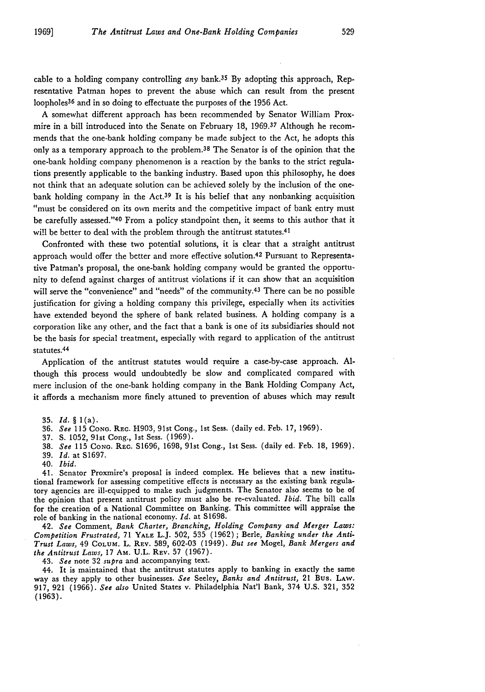cable to a holding company controlling *any* bank.35 By adopting this approach, Representative Patman hopes to prevent the abuse which can result from the present loopholes 36 and in so doing to effectuate the purposes of the **1956** Act.

**A** somewhat different approach has been recommended **by** Senator William Proxmire in a bill introduced into the Senate on February **18, 1969.37** Although he recommends that the one-bank holding company be made subject to the Act, he adopts this only as a temporary approach to the problem. 38 The Senator is of the opinion that the one-bank holding company phenomenon is a reaction **by** the banks to the strict regulations presently applicable to the banking industry. Based upon this philosophy, he does not think that an adequate solution can **be** achieved solely **by** the inclusion of the onebank holding company in the Act.<sup>39</sup> It is his belief that any nonbanking acquisition "must **be** considered on its own merits and the competitive impact of bank entry must be carefully assessed." 40 From a policy standpoint then, it seems to this author that it will be better to deal with the problem through the antitrust statutes.<sup>41</sup>

Confronted with these two potential solutions, it is clear that a straight antitrust approach would offer the better and more effective solution.42 Pursuant to Representative Patman's proposal, the one-bank holding company would **be** granted the opportunity to defend against charges of antitrust violations if it can show that an acquisition will serve the "convenience" and "needs" of the community.<sup>43</sup> There can be no possible justification for giving a holding company this privilege, especially when its activities have extended beyond the sphere of bank related business. **A** holding company is a corporation like any other, and the fact that a bank is one of its subsidiaries should not be the basis for special treatment, especially with regard to application of the antitrust statutes. 44

Application of the antitrust statutes would require a case-by-case approach. **Al**though this process would undoubtedly be slow and complicated compared with mere inclusion of the one-bank holding company in the Bank Holding Company Act, it affords a mechanism more finely attuned to prevention of abuses which may result

- 36. See 115 **CONG.** REc. H903, 91st Cong., 1st Sess. (daily ed. Feb. 17, 1969).
- 37. **S.** 1052, <sup>9</sup> 1st Cong., 1st Sess. (1969).
- **38.** *See* **115 CONo.** REc. S1696, 1698, 91st Cong., 1st Sess. (daily ed. Feb. 18, 1969).
- **39.** *Id.* at S1697.
- 40. *Ibid.*

41. Senator Proxmire's proposal is indeed complex. He believes that a new institutional framework for assessing competitive effects is necessary as the existing bank regulatory agencies are ill-equipped to make such judgments. The Senator also seems to be of the opinion that present antitrust policy must also be re-evaluated. *Ibid.* The bill calls for the creation of a National Committee on Banking. This committee will appraise the role of banking in the national economy. *Id.* at S1698.

42. *See* Comment, *Bank Charter, Branching, Holding Company and Merger Laws: Competition Frustrated,* 71 **YALE** L.J. 502, 535 (1962); Berle, *Banking under the Anti-Trust Laws,* 49 COLUM. **L.** REv. 589, 602-03 (1949). *But see* Mogel, *Bank Mergers and the Antitrust Laws,* 17 AM. **U.L.** REv. **57** (1967).

43. *See* note 32 *supra* and accompanying text.

44. It is maintained that the antitrust statutes apply to banking in exactly the same way as they apply to other businesses. *See* Seeley, *Banks and Antitrust,* 21 Bus. LAW. 917, 921 (1966). *See also* United States v. Philadelphia Nat'l Bank, 374 U.S. 321, 352 **(1963).**

**<sup>35.</sup>** Id. *§* **l(a).**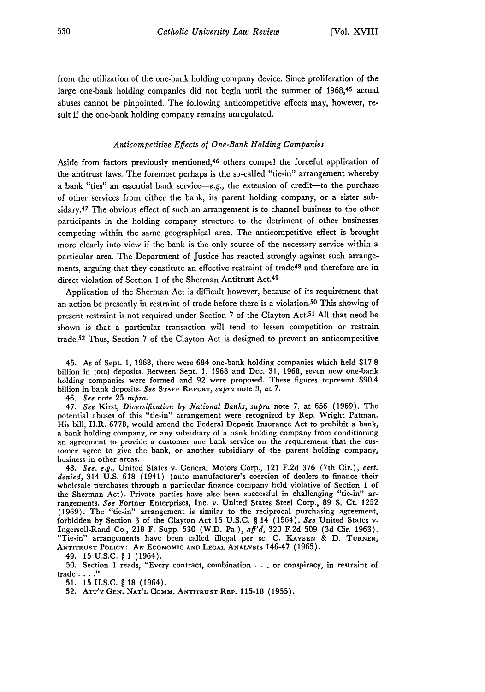from the utilization of the one-bank holding company device. Since proliferation of the large one-bank holding companies did not begin until the summer of 1968,45 actual abuses cannot be pinpointed. The following anticompetitive effects may, however, result if the one-bank holding company remains unregulated.

### *Anticompetitive Effects of One-Bank Holding Companies*

Aside from factors previously mentioned, 46 others compel the forceful application of the antitrust laws. The foremost perhaps is the so-called "tie-in" arrangement whereby a bank "ties" an essential bank service-e.g., the extension of credit-to the purchase of other services from either the bank, its parent holding company, or a sister subsidary.<sup>47</sup> The obvious effect of such an arrangement is to channel business to the other participants in the holding company structure to the detriment of other businesses competing within the same geographical area. The anticompetitive effect is brought more clearly into view if the bank is the only source of the necessary service within a particular area. The Department of Justice has reacted strongly against such arrangements, arguing that they constitute an effective restraint of trade<sup>48</sup> and therefore are in direct violation of Section 1 of the Sherman Antitrust Act.<sup>49</sup>

Application of the Sherman Act is difficult however, because of its requirement that an action be presently in restraint of trade before there is a violation.<sup>50</sup> This showing of present restraint is not required under Section 7 of the Clayton Act.<sup>51</sup> All that need be shown is that a particular transaction will tend to lessen competition or restrain trade.<sup>52</sup> Thus, Section 7 of the Clayton Act is designed to prevent an anticompetitive

45. As of Sept. 1, 1968, there were 684 one-bank holding companies which held \$17.8 billion in total deposits. Between Sept. 1, 1968 and Dec. 31, 1968, seven new one-bank holding companies were formed and 92 were proposed. These figures represent \$90.4 billion in bank deposits. *See* **STAFF** REPORT, *supra* note 3, at 7.

46. *See* note 25 *supra.*

47. *See* Kirst, *Diversification by National Banks, supra* note 7, at 656 (1969). The potential abuses of this "tie-in" arrangement were recognized by Rep. Wright Patman. His bill, H.R. 6778, would amend the Federal Deposit Insurance Act to prohibit a bank, a bank holding company, or any subsidiary of a bank holding company from conditioning an agreement to provide a customer one bank service on the requirement that the customer agree to give the bank, or another subsidiary of the parent holding company, business in other areas.

48. *See, e.g.,* United States v. General Motors Corp., 121 **F.2d 376** (7th Cir.), *cert. denied,* 314 U.S. **618** (1941) (auto manufacturer's coercion of dealers to finance their wholesale purchases through a particular finance company held violative of Section 1 of the Sherman Act). Private parties have also been successful in challenging "tie-in" arrangements. *See* Fortner Enterprises, Inc. v. United States Steel Corp., **89 S.** Ct. **1252** (1969). The "tie-in" arrangement is similar to the reciprocal purchasing agreement, forbidden by Section **3** of the Clayton Act 15 U.S.C. § 14 (1964). *See* United States v. Ingersoll-Rand Co., **218** F. Supp. **530** (W.D. Pa.), *aff'd,* **320** F.2d **509 (3d** Cir. **1963).** "Tie-in" arrangements have been called illegal per se. C. **KAYSEN** & **D.** TURNER, **ANTITRUST POLICY: AN ECONOMIC AND LEGAL ANALYSIS** 146-47 **(1965).**

49. 15 U.S.C. § 1 (1964).

50. Section 1 reads, "Every contract, combination . . . or conspiracy, in restraint of trade . **.. ."**

**51. 15** U.S.C. § 18 (1964).

52. **ATT'Y GEN. NAT'L** COMM. **ANTITRUST REP.** 115-18 (1955).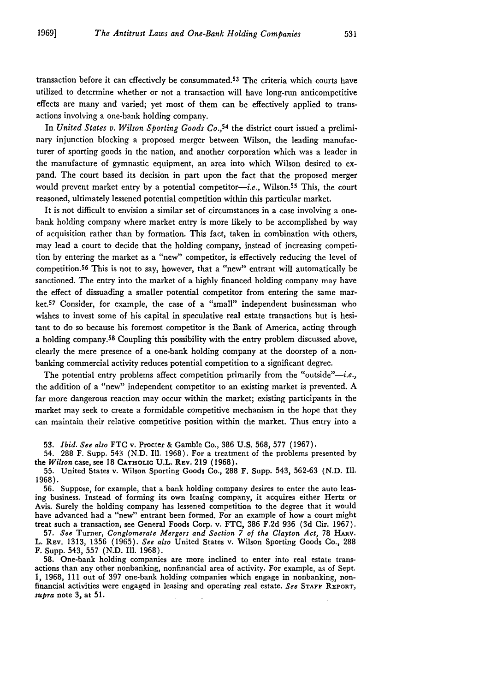transaction before it can effectively **be** consummated.5 3 The criteria which courts have utilized to determine whether or not a transaction will have long-run anticompetitive effects are many and varied; yet most of them can be effectively applied to transactions involving a one-bank holding company.

In *United States v. Wilson Sporting Goods Co.*,<sup>54</sup> the district court issued a preliminary injunction blocking a proposed merger between Wilson, the leading manufacturer of sporting goods in the nation, and another corporation which was a leader in the manufacture of gymnastic equipment, an area into which Wilson desired to expand. The court based its decision in part upon the fact that the proposed merger would prevent market entry by a potential competitor-*i.e.*, Wilson.<sup>55</sup> This, the court reasoned, ultimately lessened potential competition within this particular market.

It is not difficult to envision a similar set of circumstances in a case involving a onebank holding company where market entry is more likely to be accomplished **by** way of acquisition rather than **by** formation. This fact, taken in combination with others, may lead a court to decide that the holding company, instead of increasing competition **by** entering the market as a "new" competitor, is effectively reducing the level of competition.5 6 This is not to say, however, that a "new" entrant will automatically **be** sanctioned. The entry into the market of a **highly** financed holding company may have the effect of dissuading a smaller potential competitor from entering the same market.57 Consider, for example, the case of a "small" independent businessman who wishes to invest some of his capital in speculative real estate transactions but is hesitant to do so because his foremost competitor is the Bank of America, acting through a holding company.58 Coupling this possibility with the entry problem discussed above, clearly the mere presence of a one-bank holding company at the doorstep of a nonbanking commercial activity reduces potential competition to a significant degree.

The potential entry problems affect competition primarily from the "outside"-i.e., the addition of a "new" independent competitor to an existing market is prevented. **A** far more dangerous reaction may occur within the market; existing participants in the market may seek to create a formidable competitive mechanism in the hope that they can maintain their relative competitive position within the market. Thus entry into a

**53.** *Ibid. See also* **FTC** v. Procter **&** Gamble Co., **386 U.S. 568, 577 (1967).**

54. **288** F. Supp. 543 **(N.D. Ill. 1968).** For a treatment of the problems presented **by** the *Wilson* case, see **18 CATHOLIC U.L. REV. 219 (1968).**

**55.** United States v. Wilson Sporting Goods Co., **288** F. Supp. 543, **562-63 (N.D.** Ill. **1968).**

**56.** Suppose, for example, that a bank holding company desires to enter the auto leasing business. Instead of forming its own leasing company, it acquires either Hertz or Avis. Surely the holding company has lessened competition to the degree that it would have advanced had a "new" entrant been formed. For an example **of** how a court might treat such a transaction, see General Foods Corp. v. **FTC, 386 F.2d 936 (3d** Cir. **1967).**

**57.** *See* Turner, *Conglomerate Mergers and Section 7 of the Clayton Act,* **78 HARV.** L. **REV. 1313, 1356 (1965).** *See also* United States v. Wilson Sporting Goods Co., **288** F. Supp. 543, **557 (N.D.** Ill. **1968).**

**58.** One-bank holding companies are more inclined to enter into real estate transactions than any other nonbanking, nonfinancial area of activity. For example, as of Sept. **1, 1968, 111** out of **397** one-bank holding companies which engage in nonbanking, nonfinancial activities were engaged in leasing and operating real estate. *See* **STAFF REPORT,** *supra* note **3,** at **51.**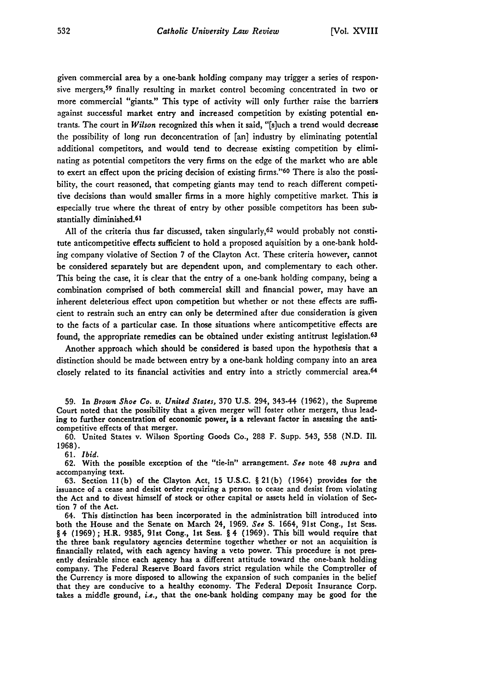given commercial area **by** a one-bank holding company may trigger a series of responsive mergers,<sup>59</sup> finally resulting in market control becoming concentrated in two or more commercial "giants." This type of activity will only further raise the barriers against successful market entry and increased competition **by** existing potential entrants. The court in *Wilson* recognized this when it said, "[s]uch a trend would decrease the possibility of long run deconcentration of [an] industry by eliminating potential additional competitors, and would tend to decrease existing competition **by** eliminating as potential competitors the very firms on the edge of the market who are able to exert an effect upon the pricing decision of existing firms." 60 There is also the possibility, the court reasoned, that competing giants may tend to reach different competitive decisions than would smaller firms in a more **highly** competitive market. This is especially true where the threat of entry **by** other possible competitors has been substantially diminished.<sup>61</sup>

**All** of the criteria thus far discussed, taken singularly,62 would probably not constitute anticompetitive effects sufficient to hold a proposed aquisition **by** a one-bank holding company violative of Section **7** of the Clayton Act. These criteria however, cannot be considered separately but are dependent upon, and complementary to each other. This being the case, it is clear that the entry of a one-bank holding company, being a combination comprised of both commercial skill and financial power, may have an inherent deleterious effect upon competition but whether or not these effects are sufficient to restrain such an entry can only be determined after due consideration is given to the facts of a particular case. In those situations where anticompetitive effects are found, the appropriate remedies can be obtained under existing antitrust legislation.<sup>63</sup>

Another approach which should be considered is based upon the hypothesis that a distinction should **be** made between entry **by** a one-bank holding company into an area closely related to its financial activities and entry into a strictly commercial area.<sup>64</sup>

60. United States v. Wilson Sporting Goods Co., 288 F. Supp. 543, 558 **(N.D. Ill.** 1968).

61. *Ibid.*

**62.** With the possible exception of the "tie-in" arrangement. *See* note 48 *supra* and accompanying text.

63. Section 11(b) of the Clayton Act, **15** U.S.C. § 21(b) (1964) provides for the issuance of a cease and desist order requiring a person to cease and desist from violating the Act and to divest himself of stock or other capital or assets held in violation of Section **7** of the Act.

64. This distinction has been incorporated in the administration bill introduced into both the House and the Senate on March 24, 1969. *See* **S.** 1664, 91st Cong., **1st** Sess. § 4 **(1969);** H.R. **9385,** 91st Cong., Ist Sess. § 4 **(1969).** This bill would require that the three bank regulatory agencies determine together whether or not an acquisition is financially related, with each agency having a veto power. This procedure is not presently desirable since each agency has a different attitude toward the one-bank holding company. The Federal Reserve Board favors strict regulation while the Comptroller of the Currency is more disposed to allowing the expansion of such companies in the belief that they are conducive to a healthy economy. The Federal Deposit Insurance Corp. takes a middle ground, i.e., that the one-bank holding company may be good for the

**<sup>59.</sup>** In *Brown Shoe Co. v. United States,* **370 U.S.** 294, 343-44 (1962), the Supreme Court noted that the possibility that a given merger will foster other mergers, thus leading to further concentration of economic power, is a relevant factor in assessing the anticompetitive effects of that merger.